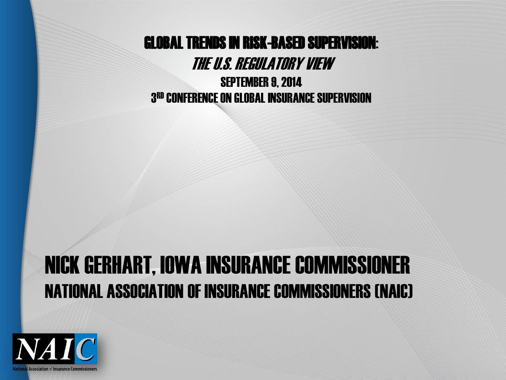GLOBAL TRENDS IN RISK-BASED SUPERVISION:

THE U.S. REGULATORY VIEW

SEPTEMBER 9, 2014 3 RD CONFERENCE ON GLOBAL INSURANCE SUPERVISION

#### NICK GERHART, IOWA INSURANCE COMMISSIONER NATIONAL ASSOCIATION OF INSURANCE COMMISSIONERS (NAIC)

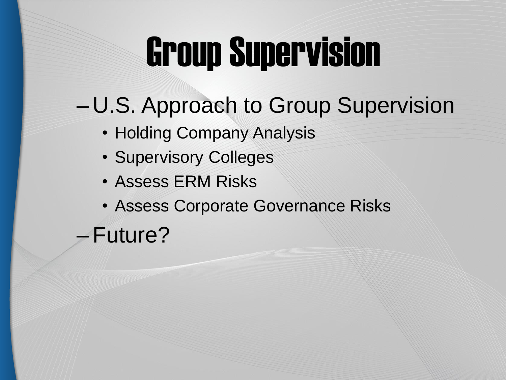### Group Supervision

- U.S. Approach to Group Supervision
	- Holding Company Analysis
	- Supervisory Colleges
	- Assess ERM Risks
	- Assess Corporate Governance Risks
	- –Future?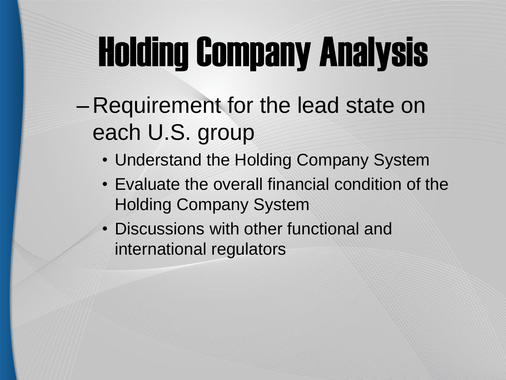# Holding Company Analysis

- Requirement for the lead state on each U.S. group
	- Understand the Holding Company System
	- Evaluate the overall financial condition of the Holding Company System
	- Discussions with other functional and international regulators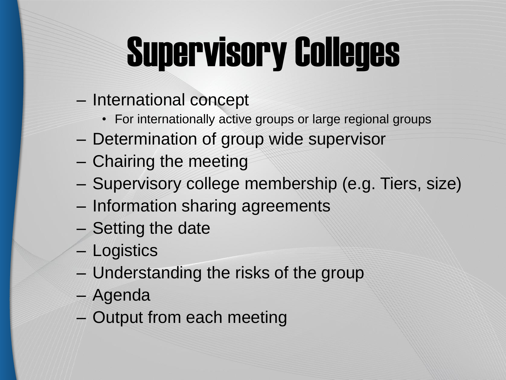# Supervisory Colleges

- International concept
	- For internationally active groups or large regional groups
- Determination of group wide supervisor
- Chairing the meeting
- Supervisory college membership (e.g. Tiers, size)
- Information sharing agreements
- Setting the date
- Logistics
- Understanding the risks of the group
- Agenda
- Output from each meeting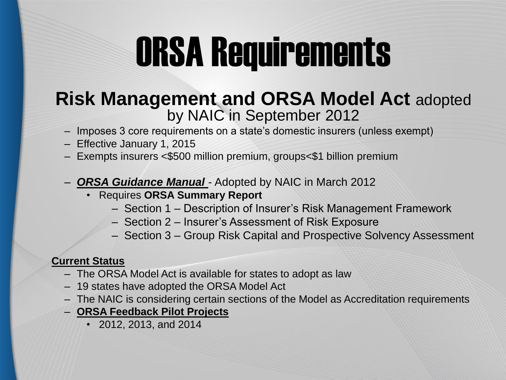### ORSA Requirements

#### **Risk Management and ORSA Model Act** adopted by NAIC in September 2012

- Imposes 3 core requirements on a state's domestic insurers (unless exempt)
- Effective January 1, 2015
- Exempts insurers <\$500 million premium, groups<\$1 billion premium
- **ORSA Guidance Manual** Adopted by NAIC in March 2012
	- Requires **ORSA Summary Report**
		- Section 1 Description of Insurer's Risk Management Framework
		- Section 2 Insurer's Assessment of Risk Exposure
		- $-$  Section 3 Group Risk Capital and Prospective Solvency Assessment

#### **Current Status**

- The ORSA Model Act is available for states to adopt as law
- 19 states have adopted the ORSA Model Act
- The NAIC is considering certain sections of the Model as Accreditation requirements
- **ORSA Feedback Pilot Projects**
	- 2012, 2013, and 2014